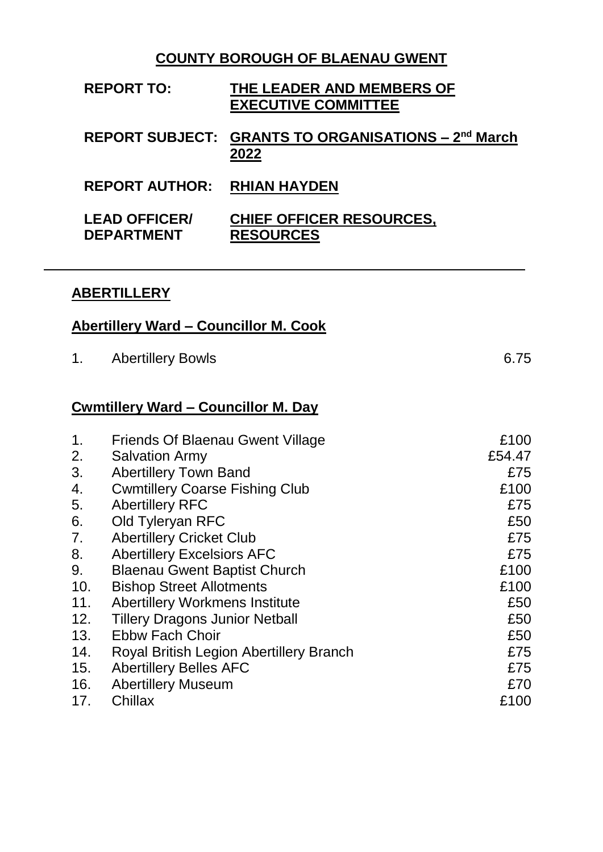## **COUNTY BOROUGH OF BLAENAU GWENT**

| <b>REPORT TO:</b>                         | THE LEADER AND MEMBERS OF<br><b>EXECUTIVE COMMITTEE</b>                 |
|-------------------------------------------|-------------------------------------------------------------------------|
|                                           | REPORT SUBJECT: GRANTS TO ORGANISATIONS - 2 <sup>nd</sup> March<br>2022 |
| <b>REPORT AUTHOR: RHIAN HAYDEN</b>        |                                                                         |
| <b>LEAD OFFICER/</b><br><b>DEPARTMENT</b> | <b>CHIEF OFFICER RESOURCES,</b><br><b>RESOURCES</b>                     |

## **ABERTILLERY**

|--|

|                | Abertillery Ward – Councillor M. Cook      |        |
|----------------|--------------------------------------------|--------|
| 1.             | <b>Abertillery Bowls</b>                   | 6.75   |
|                | <u>Cwmtillery Ward – Councillor M. Day</u> |        |
| 1.             | Friends Of Blaenau Gwent Village           | £100   |
| 2.             | <b>Salvation Army</b>                      | £54.47 |
| 3.             | <b>Abertillery Town Band</b>               | £75    |
| 4.             | <b>Cwmtillery Coarse Fishing Club</b>      | £100   |
| 5.             | <b>Abertillery RFC</b>                     | £75    |
| 6.             | Old Tyleryan RFC                           | £50    |
| 7 <sub>1</sub> | <b>Abertillery Cricket Club</b>            | £75    |
| 8.             | <b>Abertillery Excelsiors AFC</b>          | £75    |
| 9.             | <b>Blaenau Gwent Baptist Church</b>        | £100   |
| 10.            | <b>Bishop Street Allotments</b>            | £100   |
| 11.            | <b>Abertillery Workmens Institute</b>      | £50    |
| 12.            | <b>Tillery Dragons Junior Netball</b>      | £50    |
| 13.            | <b>Ebbw Fach Choir</b>                     | £50    |
| 14.            | Royal British Legion Abertillery Branch    | £75    |
| 15.            | <b>Abertillery Belles AFC</b>              | £75    |
| 16.            | <b>Abertillery Museum</b>                  | £70    |

17. Chillax **E100**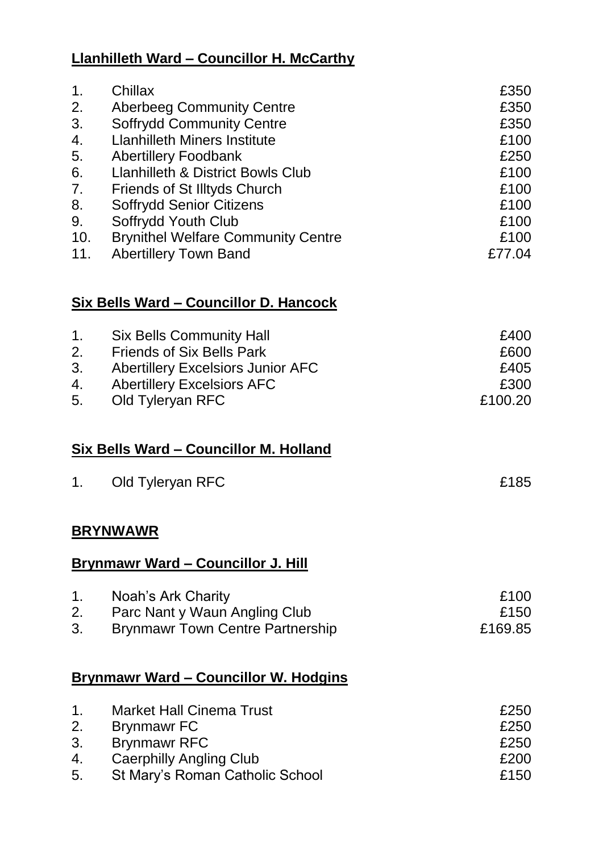# **Llanhilleth Ward – Councillor H. McCarthy**

| 1.<br>2.<br>3.<br>4.<br>5.<br>6.<br>7.<br>8.<br>9.<br>10.<br>11. | Chillax<br><b>Aberbeeg Community Centre</b><br><b>Soffrydd Community Centre</b><br><b>Llanhilleth Miners Institute</b><br><b>Abertillery Foodbank</b><br><b>Llanhilleth &amp; District Bowls Club</b><br>Friends of St Illtyds Church<br><b>Soffrydd Senior Citizens</b><br>Soffrydd Youth Club<br><b>Brynithel Welfare Community Centre</b><br><b>Abertillery Town Band</b> | £350<br>£350<br>£350<br>£100<br>£250<br>£100<br>£100<br>£100<br>£100<br>£100<br>£77.04 |
|------------------------------------------------------------------|------------------------------------------------------------------------------------------------------------------------------------------------------------------------------------------------------------------------------------------------------------------------------------------------------------------------------------------------------------------------------|----------------------------------------------------------------------------------------|
|                                                                  | Six Bells Ward - Councillor D. Hancock                                                                                                                                                                                                                                                                                                                                       |                                                                                        |
| 1.<br>2.<br>3.<br>4.<br>5.                                       | <b>Six Bells Community Hall</b><br><b>Friends of Six Bells Park</b><br><b>Abertillery Excelsiors Junior AFC</b><br><b>Abertillery Excelsiors AFC</b><br>Old Tyleryan RFC                                                                                                                                                                                                     | £400<br>£600<br>£405<br>£300<br>£100.20                                                |
|                                                                  | <u>Six Bells Ward - Councillor M. Holland</u>                                                                                                                                                                                                                                                                                                                                |                                                                                        |
| 1.                                                               | Old Tyleryan RFC                                                                                                                                                                                                                                                                                                                                                             | £185                                                                                   |
|                                                                  | <u>BRYNWAWR</u>                                                                                                                                                                                                                                                                                                                                                              |                                                                                        |
|                                                                  | <b>Brynmawr Ward - Councillor J. Hill</b>                                                                                                                                                                                                                                                                                                                                    |                                                                                        |
| 1.<br>2.<br>3.                                                   | Noah's Ark Charity<br>Parc Nant y Waun Angling Club<br><b>Brynmawr Town Centre Partnership</b>                                                                                                                                                                                                                                                                               | £100<br>£150<br>£169.85                                                                |
|                                                                  | <u><b>Brynmawr Ward – Councillor W. Hodgins</b></u>                                                                                                                                                                                                                                                                                                                          |                                                                                        |
| 1.<br>2.                                                         | <b>Market Hall Cinema Trust</b><br><b>Brynmawr FC</b>                                                                                                                                                                                                                                                                                                                        | £250<br>£250                                                                           |

| 3. | Brynmawr RFC                    | £250 |
|----|---------------------------------|------|
| 4. | Caerphilly Angling Club         | £200 |
| 5. | St Mary's Roman Catholic School | £150 |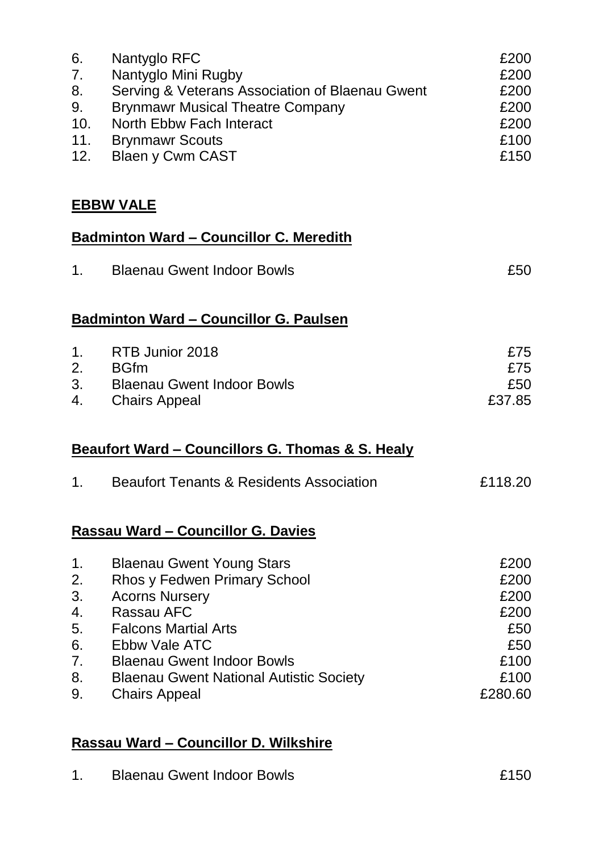| 6.<br>7.<br>8.<br>9.<br>10.<br>11.<br>12.          | Nantyglo RFC<br>Nantyglo Mini Rugby<br>Serving & Veterans Association of Blaenau Gwent<br><b>Brynmawr Musical Theatre Company</b><br>North Ebbw Fach Interact<br><b>Brynmawr Scouts</b><br><b>Blaen y Cwm CAST</b>                                                     | £200<br>£200<br>£200<br>£200<br>£200<br>£100<br>£150                  |
|----------------------------------------------------|------------------------------------------------------------------------------------------------------------------------------------------------------------------------------------------------------------------------------------------------------------------------|-----------------------------------------------------------------------|
|                                                    | <b>EBBW VALE</b>                                                                                                                                                                                                                                                       |                                                                       |
|                                                    | <b>Badminton Ward - Councillor C. Meredith</b>                                                                                                                                                                                                                         |                                                                       |
| 1.                                                 | <b>Blaenau Gwent Indoor Bowls</b>                                                                                                                                                                                                                                      | £50                                                                   |
|                                                    | <b>Badminton Ward - Councillor G. Paulsen</b>                                                                                                                                                                                                                          |                                                                       |
| 1.<br>2.<br>3.<br>4.                               | RTB Junior 2018<br><b>BGfm</b><br><b>Blaenau Gwent Indoor Bowls</b><br><b>Chairs Appeal</b>                                                                                                                                                                            | £75<br>£75<br>£50<br>£37.85                                           |
|                                                    | <b>Beaufort Ward – Councillors G. Thomas &amp; S. Healy</b>                                                                                                                                                                                                            |                                                                       |
| 1.                                                 | <b>Beaufort Tenants &amp; Residents Association</b>                                                                                                                                                                                                                    | £118.20                                                               |
|                                                    | <b>Rassau Ward - Councillor G. Davies</b>                                                                                                                                                                                                                              |                                                                       |
| 1.<br>2.<br>3.<br>4.<br>5.<br>6.<br>7.<br>8.<br>9. | <b>Blaenau Gwent Young Stars</b><br>Rhos y Fedwen Primary School<br><b>Acorns Nursery</b><br>Rassau AFC<br><b>Falcons Martial Arts</b><br>Ebbw Vale ATC<br><b>Blaenau Gwent Indoor Bowls</b><br><b>Blaenau Gwent National Autistic Society</b><br><b>Chairs Appeal</b> | £200<br>£200<br>£200<br>£200<br>£50<br>£50<br>£100<br>£100<br>£280.60 |

# **Rassau Ward – Councillor D. Wilkshire**

| <b>Blaenau Gwent Indoor Bowls</b> | £150 |
|-----------------------------------|------|
|                                   |      |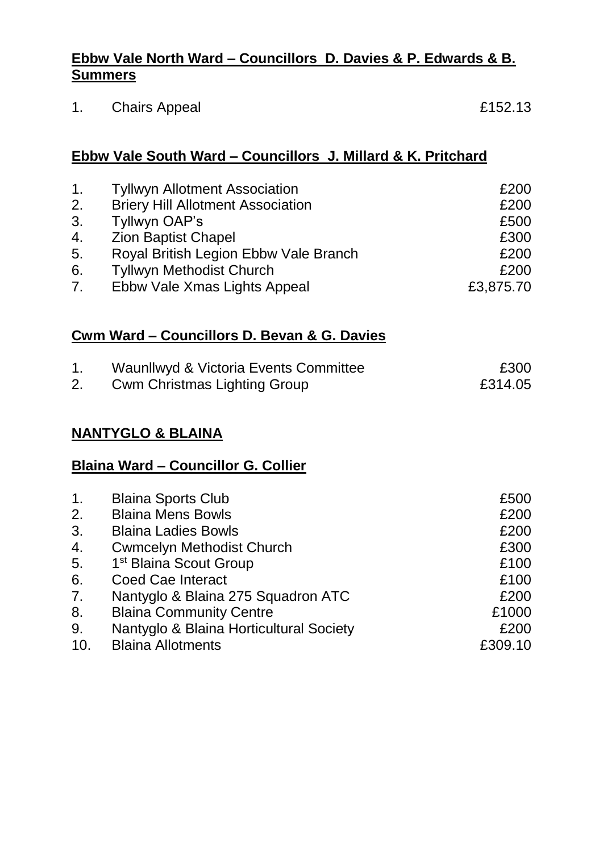#### **Ebbw Vale North Ward – Councillors D. Davies & P. Edwards & B. Summers**

1. Chairs Appeal **E152.13** 

#### **Ebbw Vale South Ward – Councillors J. Millard & K. Pritchard**

| 1 <sub>1</sub> | <b>Tyllwyn Allotment Association</b>     | £200      |
|----------------|------------------------------------------|-----------|
| 2.             | <b>Briery Hill Allotment Association</b> | £200      |
| 3.             | Tyllwyn OAP's                            | £500      |
| 4.             | <b>Zion Baptist Chapel</b>               | £300      |
| 5.             | Royal British Legion Ebbw Vale Branch    | £200      |
| 6.             | <b>Tyllwyn Methodist Church</b>          | £200      |
| 7 <sub>1</sub> | Ebbw Vale Xmas Lights Appeal             | £3,875.70 |

## **Cwm Ward – Councillors D. Bevan & G. Davies**

| Waunllwyd & Victoria Events Committee | £300    |
|---------------------------------------|---------|
| <b>Cwm Christmas Lighting Group</b>   | £314.05 |

## **NANTYGLO & BLAINA**

#### **Blaina Ward – Councillor G. Collier**

| <b>Blaina Sports Club</b>               | £500    |
|-----------------------------------------|---------|
| <b>Blaina Mens Bowls</b>                | £200    |
| <b>Blaina Ladies Bowls</b>              | £200    |
| <b>Cwmcelyn Methodist Church</b>        | £300    |
| 1 <sup>st</sup> Blaina Scout Group      | £100    |
| <b>Coed Cae Interact</b>                | £100    |
| Nantyglo & Blaina 275 Squadron ATC      | £200    |
| <b>Blaina Community Centre</b>          | £1000   |
| Nantyglo & Blaina Horticultural Society | £200    |
| <b>Blaina Allotments</b>                | £309.10 |
|                                         |         |